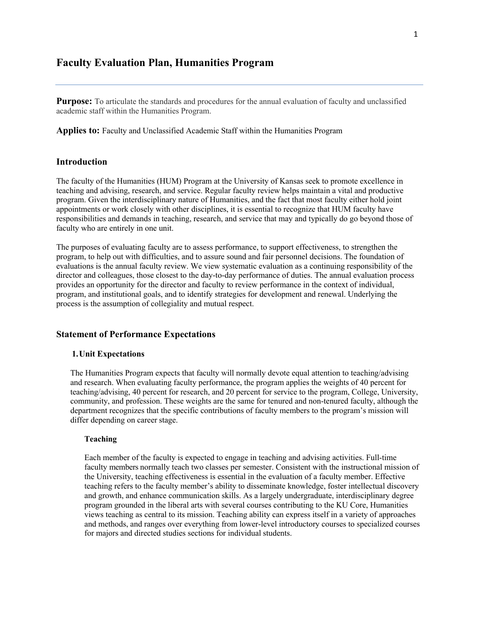## **Faculty Evaluation Plan, Humanities Program**

**Purpose:** To articulate the standards and procedures for the annual evaluation of faculty and unclassified academic staff within the Humanities Program.

**Applies to:** Faculty and Unclassified Academic Staff within the Humanities Program

## **Introduction**

The faculty of the Humanities (HUM) Program at the University of Kansas seek to promote excellence in teaching and advising, research, and service. Regular faculty review helps maintain a vital and productive program. Given the interdisciplinary nature of Humanities, and the fact that most faculty either hold joint appointments or work closely with other disciplines, it is essential to recognize that HUM faculty have responsibilities and demands in teaching, research, and service that may and typically do go beyond those of faculty who are entirely in one unit.

The purposes of evaluating faculty are to assess performance, to support effectiveness, to strengthen the program, to help out with difficulties, and to assure sound and fair personnel decisions. The foundation of evaluations is the annual faculty review. We view systematic evaluation as a continuing responsibility of the director and colleagues, those closest to the day-to-day performance of duties. The annual evaluation process provides an opportunity for the director and faculty to review performance in the context of individual, program, and institutional goals, and to identify strategies for development and renewal. Underlying the process is the assumption of collegiality and mutual respect.

## **Statement of Performance Expectations**

### **1.Unit Expectations**

The Humanities Program expects that faculty will normally devote equal attention to teaching/advising and research. When evaluating faculty performance, the program applies the weights of 40 percent for teaching/advising, 40 percent for research, and 20 percent for service to the program, College, University, community, and profession. These weights are the same for tenured and non-tenured faculty, although the department recognizes that the specific contributions of faculty members to the program's mission will differ depending on career stage.

### **Teaching**

Each member of the faculty is expected to engage in teaching and advising activities. Full-time faculty members normally teach two classes per semester. Consistent with the instructional mission of the University, teaching effectiveness is essential in the evaluation of a faculty member. Effective teaching refers to the faculty member's ability to disseminate knowledge, foster intellectual discovery and growth, and enhance communication skills. As a largely undergraduate, interdisciplinary degree program grounded in the liberal arts with several courses contributing to the KU Core, Humanities views teaching as central to its mission. Teaching ability can express itself in a variety of approaches and methods, and ranges over everything from lower-level introductory courses to specialized courses for majors and directed studies sections for individual students.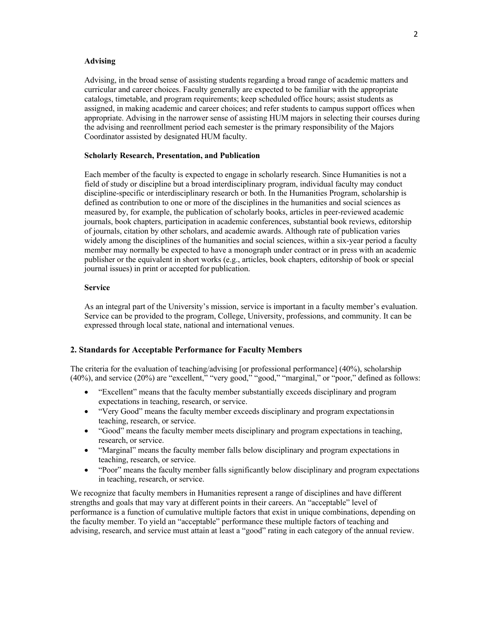### **Advising**

Advising, in the broad sense of assisting students regarding a broad range of academic matters and curricular and career choices. Faculty generally are expected to be familiar with the appropriate catalogs, timetable, and program requirements; keep scheduled office hours; assist students as assigned, in making academic and career choices; and refer students to campus support offices when appropriate. Advising in the narrower sense of assisting HUM majors in selecting their courses during the advising and reenrollment period each semester is the primary responsibility of the Majors Coordinator assisted by designated HUM faculty.

### **Scholarly Research, Presentation, and Publication**

Each member of the faculty is expected to engage in scholarly research. Since Humanities is not a field of study or discipline but a broad interdisciplinary program, individual faculty may conduct discipline-specific or interdisciplinary research or both. In the Humanities Program, scholarship is defined as contribution to one or more of the disciplines in the humanities and social sciences as measured by, for example, the publication of scholarly books, articles in peer-reviewed academic journals, book chapters, participation in academic conferences, substantial book reviews, editorship of journals, citation by other scholars, and academic awards. Although rate of publication varies widely among the disciplines of the humanities and social sciences, within a six-year period a faculty member may normally be expected to have a monograph under contract or in press with an academic publisher or the equivalent in short works (e.g., articles, book chapters, editorship of book or special journal issues) in print or accepted for publication.

### **Service**

As an integral part of the University's mission, service is important in a faculty member's evaluation. Service can be provided to the program, College, University, professions, and community. It can be expressed through local state, national and international venues.

### **2. Standards for Acceptable Performance for Faculty Members**

The criteria for the evaluation of teaching/advising [or professional performance] (40%), scholarship (40%), and service (20%) are "excellent," "very good," "good," "marginal," or "poor," defined as follows:

- "Excellent" means that the faculty member substantially exceeds disciplinary and program expectations in teaching, research, or service.
- "Very Good" means the faculty member exceeds disciplinary and program expectationsin teaching, research, or service.
- "Good" means the faculty member meets disciplinary and program expectations in teaching, research, or service.
- "Marginal" means the faculty member falls below disciplinary and program expectations in teaching, research, or service.
- "Poor" means the faculty member falls significantly below disciplinary and program expectations in teaching, research, or service.

We recognize that faculty members in Humanities represent a range of disciplines and have different strengths and goals that may vary at different points in their careers. An "acceptable" level of performance is a function of cumulative multiple factors that exist in unique combinations, depending on the faculty member. To yield an "acceptable" performance these multiple factors of teaching and advising, research, and service must attain at least a "good" rating in each category of the annual review.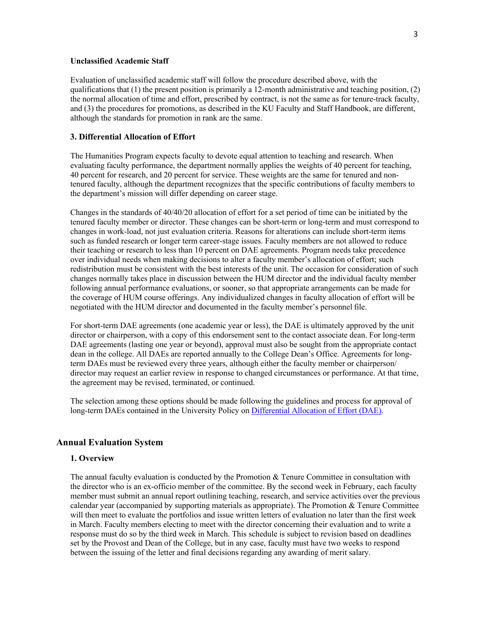### **Unclassified Academic Staff**

Evaluation of unclassified academic staff will follow the procedure described above, with the qualifications that (1) the present position is primarily a 12-month administrative and teaching position, (2) the normal allocation of time and effort, prescribed by contract, is not the same as for tenure-track faculty, and (3) the procedures for promotions, as described in the KU Faculty and Staff Handbook, are different, although the standards for promotion in rank are the same.

## **3. Differential Allocation of Effort**

The Humanities Program expects faculty to devote equal attention to teaching and research. When evaluating faculty performance, the department normally applies the weights of 40 percent for teaching, 40 percent for research, and 20 percent for service. These weights are the same for tenured and nontenured faculty, although the department recognizes that the specific contributions of faculty members to the department's mission will differ depending on career stage.

Changes in the standards of 40/40/20 allocation of effort for a set period of time can be initiated by the tenured faculty member or director. These changes can be short-term or long-term and must correspond to changes in work-load, not just evaluation criteria. Reasons for alterations can include short-term items such as funded research or longer term career-stage issues. Faculty members are not allowed to reduce their teaching or research to less than 10 percent on DAE agreements. Program needs take precedence over individual needs when making decisions to alter a faculty member's allocation of effort; such redistribution must be consistent with the best interests of the unit. The occasion for consideration of such changes normally takes place in discussion between the HUM director and the individual faculty member following annual performance evaluations, or sooner, so that appropriate arrangements can be made for the coverage of HUM course offerings. Any individualized changes in faculty allocation of effort will be negotiated with the HUM director and documented in the faculty member's personnel file.

For short-term DAE agreements (one academic year or less), the DAE is ultimately approved by the unit director or chairperson, with a copy of this endorsement sent to the contact associate dean. For long-term DAE agreements (lasting one year or beyond), approval must also be sought from the appropriate contact dean in the college. All DAEs are reported annually to the College Dean's Office. Agreements for longterm DAEs must be reviewed every three years, although either the faculty member or chairperson/ director may request an earlier review in response to changed circumstances or performance. At that time, the agreement may be revised, terminated, or continued.

The selection among these options should be made following the guidelines and process for approval of long-term DAEs contained in the University Policy on Differential Allocation of Effort (DAE).

## **Annual Evaluation System**

#### **1. Overview**

The annual faculty evaluation is conducted by the Promotion  $&$  Tenure Committee in consultation with the director who is an ex-officio member of the committee. By the second week in February, each faculty member must submit an annual report outlining teaching, research, and service activities over the previous calendar year (accompanied by supporting materials as appropriate). The Promotion & Tenure Committee will then meet to evaluate the portfolios and issue written letters of evaluation no later than the first week in March. Faculty members electing to meet with the director concerning their evaluation and to write a response must do so by the third week in March. This schedule is subject to revision based on deadlines set by the Provost and Dean of the College, but in any case, faculty must have two weeks to respond between the issuing of the letter and final decisions regarding any awarding of merit salary.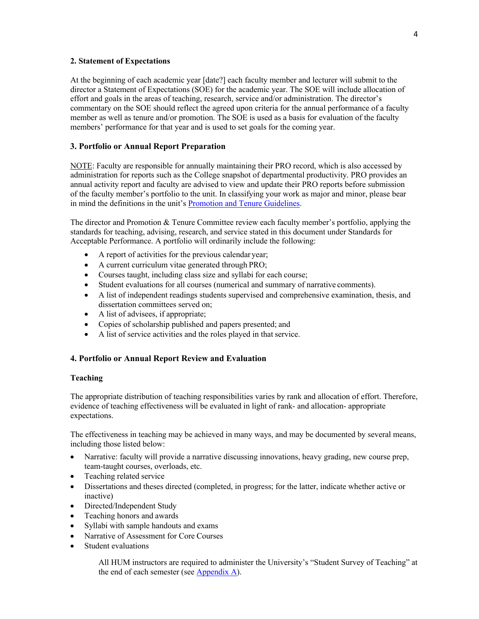### **2. Statement of Expectations**

At the beginning of each academic year [date?] each faculty member and lecturer will submit to the director a Statement of Expectations (SOE) for the academic year. The SOE will include allocation of effort and goals in the areas of teaching, research, service and/or administration. The director's commentary on the SOE should reflect the agreed upon criteria for the annual performance of a faculty member as well as tenure and/or promotion. The SOE is used as a basis for evaluation of the faculty members' performance for that year and is used to set goals for the coming year.

## **3. Portfolio or Annual Report Preparation**

NOTE: Faculty are responsible for annually maintaining their PRO record, which is also accessed by administration for reports such as the College snapshot of departmental productivity. PRO provides an annual activity report and faculty are advised to view and update their PRO reports before submission of the faculty member's portfolio to the unit. In classifying your work as major and minor, please bear in mind the definitions in the unit's Promotion and Tenure Guidelines.

The director and Promotion & Tenure Committee review each faculty member's portfolio, applying the standards for teaching, advising, research, and service stated in this document under Standards for Acceptable Performance. A portfolio will ordinarily include the following:

- A report of activities for the previous calendar year;
- A current curriculum vitae generated through PRO;
- Courses taught, including class size and syllabi for each course;
- Student evaluations for all courses (numerical and summary of narrative comments).
- A list of independent readings students supervised and comprehensive examination, thesis, and dissertation committees served on;
- A list of advisees, if appropriate;
- Copies of scholarship published and papers presented; and
- A list of service activities and the roles played in that service.

## **4. Portfolio or Annual Report Review and Evaluation**

### **Teaching**

The appropriate distribution of teaching responsibilities varies by rank and allocation of effort. Therefore, evidence of teaching effectiveness will be evaluated in light of rank- and allocation- appropriate expectations.

The effectiveness in teaching may be achieved in many ways, and may be documented by several means, including those listed below:

- Narrative: faculty will provide a narrative discussing innovations, heavy grading, new course prep, team-taught courses, overloads, etc.
- Teaching related service
- Dissertations and theses directed (completed, in progress; for the latter, indicate whether active or inactive)
- Directed/Independent Study
- Teaching honors and awards
- Syllabi with sample handouts and exams
- Narrative of Assessment for Core Courses
- Student evaluations

All HUM instructors are required to administer the University's "Student Survey of Teaching" at the end of each semester (see  $\Delta$ ppendix  $\Delta$ ).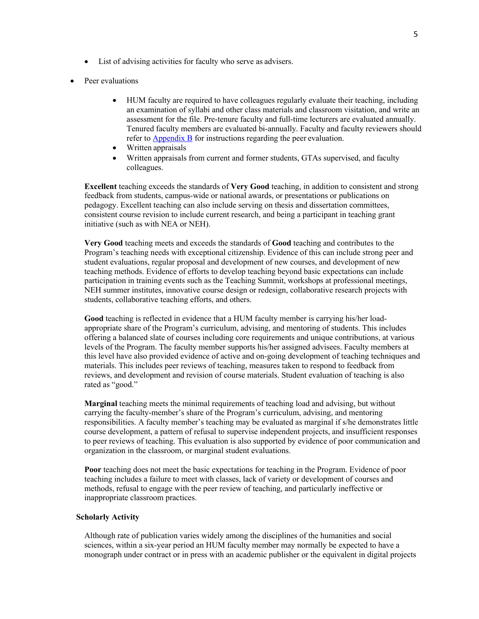- List of advising activities for faculty who serve as advisers.
- Peer evaluations
	- HUM faculty are required to have colleagues regularly evaluate their teaching, including an examination of syllabi and other class materials and classroom visitation, and write an assessment for the file. Pre-tenure faculty and full-time lecturers are evaluated annually. Tenured faculty members are evaluated bi-annually. Faculty and faculty reviewers should refer to Appendix B for instructions regarding the peer evaluation.
	- Written appraisals
	- Written appraisals from current and former students, GTAs supervised, and faculty colleagues.

**Excellent** teaching exceeds the standards of **Very Good** teaching, in addition to consistent and strong feedback from students, campus-wide or national awards, or presentations or publications on pedagogy. Excellent teaching can also include serving on thesis and dissertation committees, consistent course revision to include current research, and being a participant in teaching grant initiative (such as with NEA or NEH).

**Very Good** teaching meets and exceeds the standards of **Good** teaching and contributes to the Program's teaching needs with exceptional citizenship. Evidence of this can include strong peer and student evaluations, regular proposal and development of new courses, and development of new teaching methods. Evidence of efforts to develop teaching beyond basic expectations can include participation in training events such as the Teaching Summit, workshops at professional meetings, NEH summer institutes, innovative course design or redesign, collaborative research projects with students, collaborative teaching efforts, and others.

Good teaching is reflected in evidence that a HUM faculty member is carrying his/her loadappropriate share of the Program's curriculum, advising, and mentoring of students. This includes offering a balanced slate of courses including core requirements and unique contributions, at various levels of the Program. The faculty member supports his/her assigned advisees. Faculty members at this level have also provided evidence of active and on-going development of teaching techniques and materials. This includes peer reviews of teaching, measures taken to respond to feedback from reviews, and development and revision of course materials. Student evaluation of teaching is also rated as "good."

**Marginal** teaching meets the minimal requirements of teaching load and advising, but without carrying the faculty-member's share of the Program's curriculum, advising, and mentoring responsibilities. A faculty member's teaching may be evaluated as marginal if s/he demonstrates little course development, a pattern of refusal to supervise independent projects, and insufficient responses to peer reviews of teaching. This evaluation is also supported by evidence of poor communication and organization in the classroom, or marginal student evaluations.

**Poor** teaching does not meet the basic expectations for teaching in the Program. Evidence of poor teaching includes a failure to meet with classes, lack of variety or development of courses and methods, refusal to engage with the peer review of teaching, and particularly ineffective or inappropriate classroom practices.

### **Scholarly Activity**

Although rate of publication varies widely among the disciplines of the humanities and social sciences, within a six-year period an HUM faculty member may normally be expected to have a monograph under contract or in press with an academic publisher or the equivalent in digital projects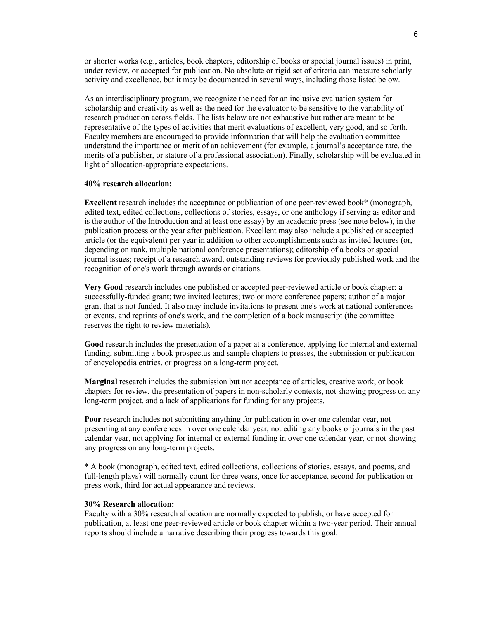or shorter works (e.g., articles, book chapters, editorship of books or special journal issues) in print, under review, or accepted for publication. No absolute or rigid set of criteria can measure scholarly activity and excellence, but it may be documented in several ways, including those listed below.

As an interdisciplinary program, we recognize the need for an inclusive evaluation system for scholarship and creativity as well as the need for the evaluator to be sensitive to the variability of research production across fields. The lists below are not exhaustive but rather are meant to be representative of the types of activities that merit evaluations of excellent, very good, and so forth. Faculty members are encouraged to provide information that will help the evaluation committee understand the importance or merit of an achievement (for example, a journal's acceptance rate, the merits of a publisher, or stature of a professional association). Finally, scholarship will be evaluated in light of allocation-appropriate expectations.

#### **40% research allocation:**

**Excellent** research includes the acceptance or publication of one peer-reviewed book\* (monograph, edited text, edited collections, collections of stories, essays, or one anthology if serving as editor and is the author of the Introduction and at least one essay) by an academic press (see note below), in the publication process or the year after publication. Excellent may also include a published or accepted article (or the equivalent) per year in addition to other accomplishments such as invited lectures (or, depending on rank, multiple national conference presentations); editorship of a books or special journal issues; receipt of a research award, outstanding reviews for previously published work and the recognition of one's work through awards or citations.

**Very Good** research includes one published or accepted peer-reviewed article or book chapter; a successfully-funded grant; two invited lectures; two or more conference papers; author of a major grant that is not funded. It also may include invitations to present one's work at national conferences or events, and reprints of one's work, and the completion of a book manuscript (the committee reserves the right to review materials).

**Good** research includes the presentation of a paper at a conference, applying for internal and external funding, submitting a book prospectus and sample chapters to presses, the submission or publication of encyclopedia entries, or progress on a long-term project.

**Marginal** research includes the submission but not acceptance of articles, creative work, or book chapters for review, the presentation of papers in non-scholarly contexts, not showing progress on any long-term project, and a lack of applications for funding for any projects.

**Poor** research includes not submitting anything for publication in over one calendar year, not presenting at any conferences in over one calendar year, not editing any books or journals in the past calendar year, not applying for internal or external funding in over one calendar year, or not showing any progress on any long-term projects.

\* A book (monograph, edited text, edited collections, collections of stories, essays, and poems, and full-length plays) will normally count for three years, once for acceptance, second for publication or press work, third for actual appearance and reviews.

### **30% Research allocation:**

Faculty with a 30% research allocation are normally expected to publish, or have accepted for publication, at least one peer-reviewed article or book chapter within a two-year period. Their annual reports should include a narrative describing their progress towards this goal.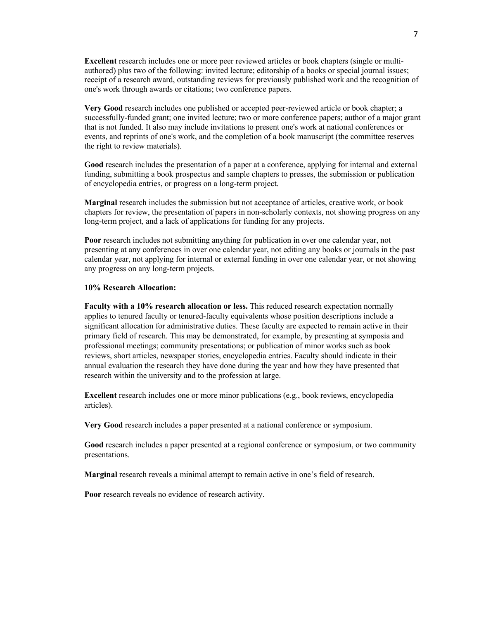**Excellent** research includes one or more peer reviewed articles or book chapters (single or multiauthored) plus two of the following: invited lecture; editorship of a books or special journal issues; receipt of a research award, outstanding reviews for previously published work and the recognition of one's work through awards or citations; two conference papers.

**Very Good** research includes one published or accepted peer-reviewed article or book chapter; a successfully-funded grant; one invited lecture; two or more conference papers; author of a major grant that is not funded. It also may include invitations to present one's work at national conferences or events, and reprints of one's work, and the completion of a book manuscript (the committee reserves the right to review materials).

**Good** research includes the presentation of a paper at a conference, applying for internal and external funding, submitting a book prospectus and sample chapters to presses, the submission or publication of encyclopedia entries, or progress on a long-term project.

**Marginal** research includes the submission but not acceptance of articles, creative work, or book chapters for review, the presentation of papers in non-scholarly contexts, not showing progress on any long-term project, and a lack of applications for funding for any projects.

**Poor** research includes not submitting anything for publication in over one calendar year, not presenting at any conferences in over one calendar year, not editing any books or journals in the past calendar year, not applying for internal or external funding in over one calendar year, or not showing any progress on any long-term projects.

## **10% Research Allocation:**

**Faculty with a 10% research allocation or less.** This reduced research expectation normally applies to tenured faculty or tenured-faculty equivalents whose position descriptions include a significant allocation for administrative duties. These faculty are expected to remain active in their primary field of research. This may be demonstrated, for example, by presenting at symposia and professional meetings; community presentations; or publication of minor works such as book reviews, short articles, newspaper stories, encyclopedia entries. Faculty should indicate in their annual evaluation the research they have done during the year and how they have presented that research within the university and to the profession at large.

**Excellent** research includes one or more minor publications (e.g., book reviews, encyclopedia articles).

**Very Good** research includes a paper presented at a national conference or symposium.

**Good** research includes a paper presented at a regional conference or symposium, or two community presentations.

**Marginal** research reveals a minimal attempt to remain active in one's field of research.

**Poor** research reveals no evidence of research activity.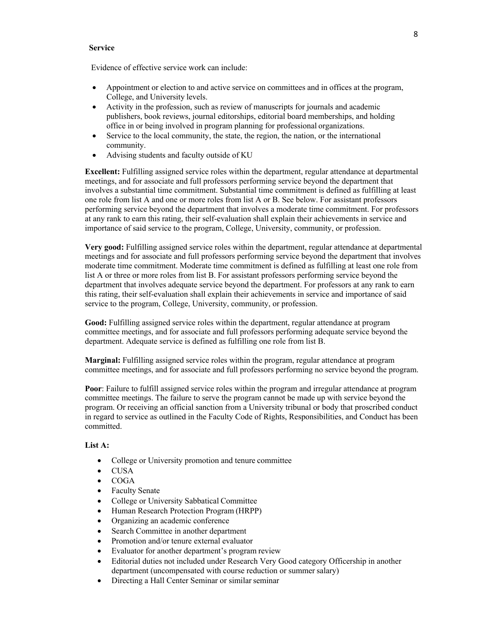## **Service**

Evidence of effective service work can include:

- Appointment or election to and active service on committees and in offices at the program, College, and University levels.
- Activity in the profession, such as review of manuscripts for journals and academic publishers, book reviews, journal editorships, editorial board memberships, and holding office in or being involved in program planning for professional organizations.
- Service to the local community, the state, the region, the nation, or the international community.
- Advising students and faculty outside of KU

**Excellent:** Fulfilling assigned service roles within the department, regular attendance at departmental meetings, and for associate and full professors performing service beyond the department that involves a substantial time commitment. Substantial time commitment is defined as fulfilling at least one role from list A and one or more roles from list A or B. See below. For assistant professors performing service beyond the department that involves a moderate time commitment. For professors at any rank to earn this rating, their self-evaluation shall explain their achievements in service and importance of said service to the program, College, University, community, or profession.

**Very good:** Fulfilling assigned service roles within the department, regular attendance at departmental meetings and for associate and full professors performing service beyond the department that involves moderate time commitment. Moderate time commitment is defined as fulfilling at least one role from list A or three or more roles from list B. For assistant professors performing service beyond the department that involves adequate service beyond the department. For professors at any rank to earn this rating, their self-evaluation shall explain their achievements in service and importance of said service to the program, College, University, community, or profession.

**Good:** Fulfilling assigned service roles within the department, regular attendance at program committee meetings, and for associate and full professors performing adequate service beyond the department. Adequate service is defined as fulfilling one role from list B.

**Marginal:** Fulfilling assigned service roles within the program, regular attendance at program committee meetings, and for associate and full professors performing no service beyond the program.

**Poor**: Failure to fulfill assigned service roles within the program and irregular attendance at program committee meetings. The failure to serve the program cannot be made up with service beyond the program. Or receiving an official sanction from a University tribunal or body that proscribed conduct in regard to service as outlined in the Faculty Code of Rights, Responsibilities, and Conduct has been committed.

### **List A:**

- College or University promotion and tenure committee
- CUSA
- COGA
- Faculty Senate
- College or University Sabbatical Committee
- Human Research Protection Program (HRPP)
- Organizing an academic conference
- Search Committee in another department
- Promotion and/or tenure external evaluator
- Evaluator for another department's program review
- Editorial duties not included under Research Very Good category Officership in another department (uncompensated with course reduction or summer salary)
- Directing a Hall Center Seminar or similar seminar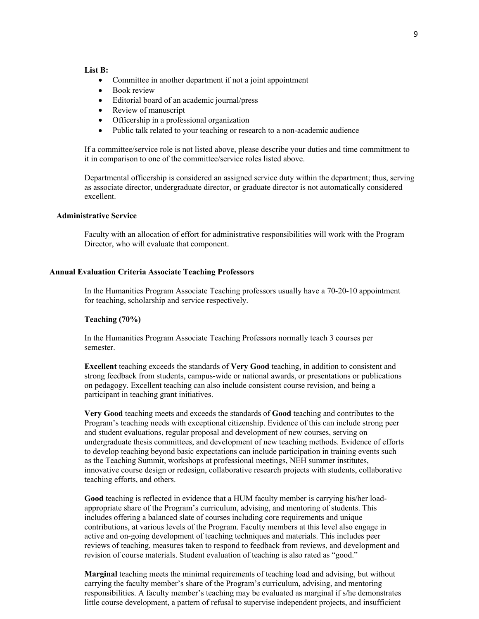#### **List B:**

- Committee in another department if not a joint appointment
- Book review
- Editorial board of an academic journal/press
- Review of manuscript
- Officership in a professional organization
- Public talk related to your teaching or research to a non-academic audience

If a committee/service role is not listed above, please describe your duties and time commitment to it in comparison to one of the committee/service roles listed above.

Departmental officership is considered an assigned service duty within the department; thus, serving as associate director, undergraduate director, or graduate director is not automatically considered excellent.

## **Administrative Service**

Faculty with an allocation of effort for administrative responsibilities will work with the Program Director, who will evaluate that component.

#### **Annual Evaluation Criteria Associate Teaching Professors**

In the Humanities Program Associate Teaching professors usually have a 70-20-10 appointment for teaching, scholarship and service respectively.

### **Teaching (70%)**

In the Humanities Program Associate Teaching Professors normally teach 3 courses per semester.

**Excellent** teaching exceeds the standards of **Very Good** teaching, in addition to consistent and strong feedback from students, campus-wide or national awards, or presentations or publications on pedagogy. Excellent teaching can also include consistent course revision, and being a participant in teaching grant initiatives.

**Very Good** teaching meets and exceeds the standards of **Good** teaching and contributes to the Program's teaching needs with exceptional citizenship. Evidence of this can include strong peer and student evaluations, regular proposal and development of new courses, serving on undergraduate thesis committees, and development of new teaching methods. Evidence of efforts to develop teaching beyond basic expectations can include participation in training events such as the Teaching Summit, workshops at professional meetings, NEH summer institutes, innovative course design or redesign, collaborative research projects with students, collaborative teaching efforts, and others.

**Good** teaching is reflected in evidence that a HUM faculty member is carrying his/her loadappropriate share of the Program's curriculum, advising, and mentoring of students. This includes offering a balanced slate of courses including core requirements and unique contributions, at various levels of the Program. Faculty members at this level also engage in active and on-going development of teaching techniques and materials. This includes peer reviews of teaching, measures taken to respond to feedback from reviews, and development and revision of course materials. Student evaluation of teaching is also rated as "good."

**Marginal** teaching meets the minimal requirements of teaching load and advising, but without carrying the faculty member's share of the Program's curriculum, advising, and mentoring responsibilities. A faculty member's teaching may be evaluated as marginal if s/he demonstrates little course development, a pattern of refusal to supervise independent projects, and insufficient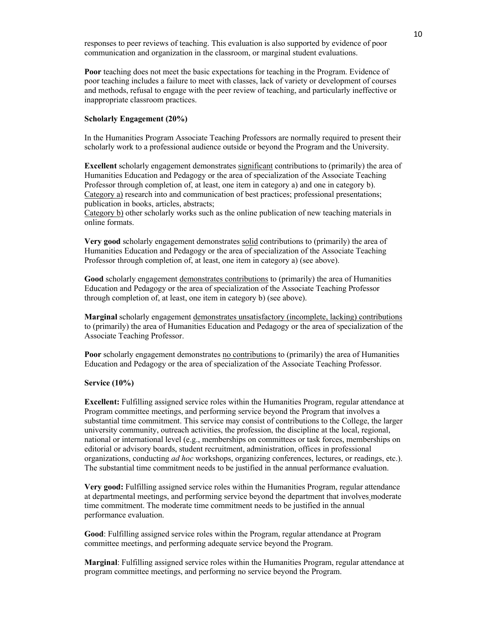responses to peer reviews of teaching. This evaluation is also supported by evidence of poor communication and organization in the classroom, or marginal student evaluations.

**Poor** teaching does not meet the basic expectations for teaching in the Program. Evidence of poor teaching includes a failure to meet with classes, lack of variety or development of courses and methods, refusal to engage with the peer review of teaching, and particularly ineffective or inappropriate classroom practices.

### **Scholarly Engagement (20%)**

In the Humanities Program Associate Teaching Professors are normally required to present their scholarly work to a professional audience outside or beyond the Program and the University.

**Excellent** scholarly engagement demonstrates significant contributions to (primarily) the area of Humanities Education and Pedagogy or the area of specialization of the Associate Teaching Professor through completion of, at least, one item in category a) and one in category b). Category a) research into and communication of best practices; professional presentations; publication in books, articles, abstracts;

Category b) other scholarly works such as the online publication of new teaching materials in online formats.

**Very good** scholarly engagement demonstrates solid contributions to (primarily) the area of Humanities Education and Pedagogy or the area of specialization of the Associate Teaching Professor through completion of, at least, one item in category a) (see above).

**Good** scholarly engagement demonstrates contributions to (primarily) the area of Humanities Education and Pedagogy or the area of specialization of the Associate Teaching Professor through completion of, at least, one item in category b) (see above).

**Marginal** scholarly engagement demonstrates unsatisfactory (incomplete, lacking) contributions to (primarily) the area of Humanities Education and Pedagogy or the area of specialization of the Associate Teaching Professor.

**Poor** scholarly engagement demonstrates no contributions to (primarily) the area of Humanities Education and Pedagogy or the area of specialization of the Associate Teaching Professor.

### **Service (10%)**

**Excellent:** Fulfilling assigned service roles within the Humanities Program, regular attendance at Program committee meetings, and performing service beyond the Program that involves a substantial time commitment. This service may consist of contributions to the College, the larger university community, outreach activities, the profession, the discipline at the local, regional, national or international level (e.g., memberships on committees or task forces, memberships on editorial or advisory boards, student recruitment, administration, offices in professional organizations, conducting *ad hoc* workshops, organizing conferences, lectures, or readings, etc.). The substantial time commitment needs to be justified in the annual performance evaluation.

**Very good:** Fulfilling assigned service roles within the Humanities Program, regular attendance at departmental meetings, and performing service beyond the department that involves moderate time commitment. The moderate time commitment needs to be justified in the annual performance evaluation.

**Good**: Fulfilling assigned service roles within the Program, regular attendance at Program committee meetings, and performing adequate service beyond the Program.

**Marginal**: Fulfilling assigned service roles within the Humanities Program, regular attendance at program committee meetings, and performing no service beyond the Program.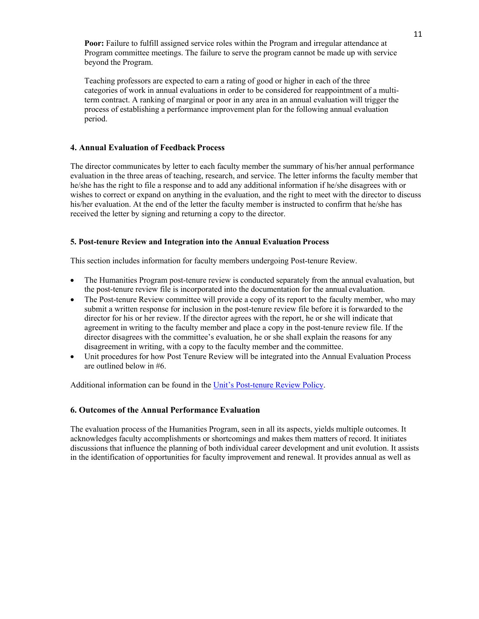**Poor:** Failure to fulfill assigned service roles within the Program and irregular attendance at Program committee meetings. The failure to serve the program cannot be made up with service beyond the Program.

Teaching professors are expected to earn a rating of good or higher in each of the three categories of work in annual evaluations in order to be considered for reappointment of a multiterm contract. A ranking of marginal or poor in any area in an annual evaluation will trigger the process of establishing a performance improvement plan for the following annual evaluation period.

## **4. Annual Evaluation of Feedback Process**

The director communicates by letter to each faculty member the summary of his/her annual performance evaluation in the three areas of teaching, research, and service. The letter informs the faculty member that he/she has the right to file a response and to add any additional information if he/she disagrees with or wishes to correct or expand on anything in the evaluation, and the right to meet with the director to discuss his/her evaluation. At the end of the letter the faculty member is instructed to confirm that he/she has received the letter by signing and returning a copy to the director.

## **5. Post-tenure Review and Integration into the Annual Evaluation Process**

This section includes information for faculty members undergoing Post-tenure Review.

- The Humanities Program post-tenure review is conducted separately from the annual evaluation, but the post-tenure review file is incorporated into the documentation for the annual evaluation.
- The Post-tenure Review committee will provide a copy of its report to the faculty member, who may submit a written response for inclusion in the post-tenure review file before it is forwarded to the director for his or her review. If the director agrees with the report, he or she will indicate that agreement in writing to the faculty member and place a copy in the post-tenure review file. If the director disagrees with the committee's evaluation, he or she shall explain the reasons for any disagreement in writing, with a copy to the faculty member and the committee.
- Unit procedures for how Post Tenure Review will be integrated into the Annual Evaluation Process are outlined below in #6.

Additional information can be found in the Unit's Post-tenure Review Policy.

## **6. Outcomes of the Annual Performance Evaluation**

The evaluation process of the Humanities Program, seen in all its aspects, yields multiple outcomes. It acknowledges faculty accomplishments or shortcomings and makes them matters of record. It initiates discussions that influence the planning of both individual career development and unit evolution. It assists in the identification of opportunities for faculty improvement and renewal. It provides annual as well as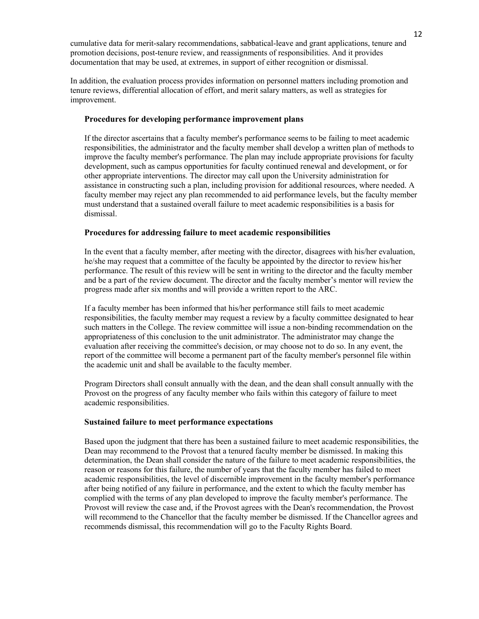cumulative data for merit-salary recommendations, sabbatical-leave and grant applications, tenure and promotion decisions, post-tenure review, and reassignments of responsibilities. And it provides documentation that may be used, at extremes, in support of either recognition or dismissal.

In addition, the evaluation process provides information on personnel matters including promotion and tenure reviews, differential allocation of effort, and merit salary matters, as well as strategies for improvement.

### **Procedures for developing performance improvement plans**

If the director ascertains that a faculty member's performance seems to be failing to meet academic responsibilities, the administrator and the faculty member shall develop a written plan of methods to improve the faculty member's performance. The plan may include appropriate provisions for faculty development, such as campus opportunities for faculty continued renewal and development, or for other appropriate interventions. The director may call upon the University administration for assistance in constructing such a plan, including provision for additional resources, where needed. A faculty member may reject any plan recommended to aid performance levels, but the faculty member must understand that a sustained overall failure to meet academic responsibilities is a basis for dismissal.

### **Procedures for addressing failure to meet academic responsibilities**

In the event that a faculty member, after meeting with the director, disagrees with his/her evaluation, he/she may request that a committee of the faculty be appointed by the director to review his/her performance. The result of this review will be sent in writing to the director and the faculty member and be a part of the review document. The director and the faculty member's mentor will review the progress made after six months and will provide a written report to the ARC.

If a faculty member has been informed that his/her performance still fails to meet academic responsibilities, the faculty member may request a review by a faculty committee designated to hear such matters in the College. The review committee will issue a non-binding recommendation on the appropriateness of this conclusion to the unit administrator. The administrator may change the evaluation after receiving the committee's decision, or may choose not to do so. In any event, the report of the committee will become a permanent part of the faculty member's personnel file within the academic unit and shall be available to the faculty member.

Program Directors shall consult annually with the dean, and the dean shall consult annually with the Provost on the progress of any faculty member who fails within this category of failure to meet academic responsibilities.

### **Sustained failure to meet performance expectations**

Based upon the judgment that there has been a sustained failure to meet academic responsibilities, the Dean may recommend to the Provost that a tenured faculty member be dismissed. In making this determination, the Dean shall consider the nature of the failure to meet academic responsibilities, the reason or reasons for this failure, the number of years that the faculty member has failed to meet academic responsibilities, the level of discernible improvement in the faculty member's performance after being notified of any failure in performance, and the extent to which the faculty member has complied with the terms of any plan developed to improve the faculty member's performance. The Provost will review the case and, if the Provost agrees with the Dean's recommendation, the Provost will recommend to the Chancellor that the faculty member be dismissed. If the Chancellor agrees and recommends dismissal, this recommendation will go to the Faculty Rights Board.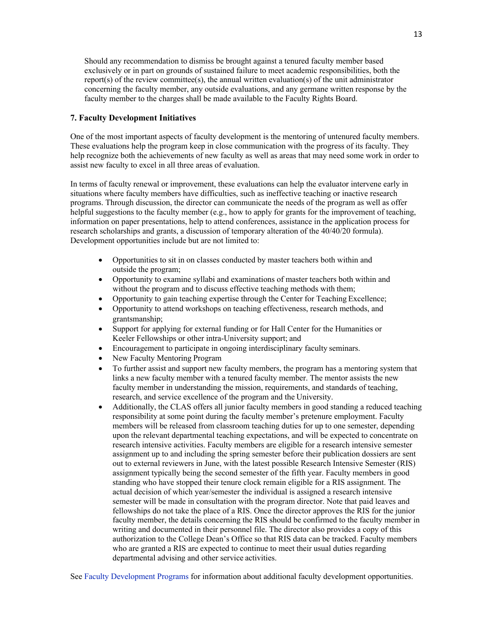Should any recommendation to dismiss be brought against a tenured faculty member based exclusively or in part on grounds of sustained failure to meet academic responsibilities, both the report(s) of the review committee(s), the annual written evaluation(s) of the unit administrator concerning the faculty member, any outside evaluations, and any germane written response by the faculty member to the charges shall be made available to the Faculty Rights Board.

## **7. Faculty Development Initiatives**

One of the most important aspects of faculty development is the mentoring of untenured faculty members. These evaluations help the program keep in close communication with the progress of its faculty. They help recognize both the achievements of new faculty as well as areas that may need some work in order to assist new faculty to excel in all three areas of evaluation.

In terms of faculty renewal or improvement, these evaluations can help the evaluator intervene early in situations where faculty members have difficulties, such as ineffective teaching or inactive research programs. Through discussion, the director can communicate the needs of the program as well as offer helpful suggestions to the faculty member (e.g., how to apply for grants for the improvement of teaching, information on paper presentations, help to attend conferences, assistance in the application process for research scholarships and grants, a discussion of temporary alteration of the 40/40/20 formula). Development opportunities include but are not limited to:

- Opportunities to sit in on classes conducted by master teachers both within and outside the program;
- Opportunity to examine syllabi and examinations of master teachers both within and without the program and to discuss effective teaching methods with them;
- Opportunity to gain teaching expertise through the Center for Teaching Excellence;
- Opportunity to attend workshops on teaching effectiveness, research methods, and grantsmanship;
- Support for applying for external funding or for Hall Center for the Humanities or Keeler Fellowships or other intra-University support; and
- Encouragement to participate in ongoing interdisciplinary faculty seminars.
- New Faculty Mentoring Program
- To further assist and support new faculty members, the program has a mentoring system that links a new faculty member with a tenured faculty member. The mentor assists the new faculty member in understanding the mission, requirements, and standards of teaching, research, and service excellence of the program and the University.
- Additionally, the CLAS offers all junior faculty members in good standing a reduced teaching responsibility at some point during the faculty member's pretenure employment. Faculty members will be released from classroom teaching duties for up to one semester, depending upon the relevant departmental teaching expectations, and will be expected to concentrate on research intensive activities. Faculty members are eligible for a research intensive semester assignment up to and including the spring semester before their publication dossiers are sent out to external reviewers in June, with the latest possible Research Intensive Semester (RIS) assignment typically being the second semester of the fifth year. Faculty members in good standing who have stopped their tenure clock remain eligible for a RIS assignment. The actual decision of which year/semester the individual is assigned a research intensive semester will be made in consultation with the program director. Note that paid leaves and fellowships do not take the place of a RIS. Once the director approves the RIS for the junior faculty member, the details concerning the RIS should be confirmed to the faculty member in writing and documented in their personnel file. The director also provides a copy of this authorization to the College Dean's Office so that RIS data can be tracked. Faculty members who are granted a RIS are expected to continue to meet their usual duties regarding departmental advising and other service activities.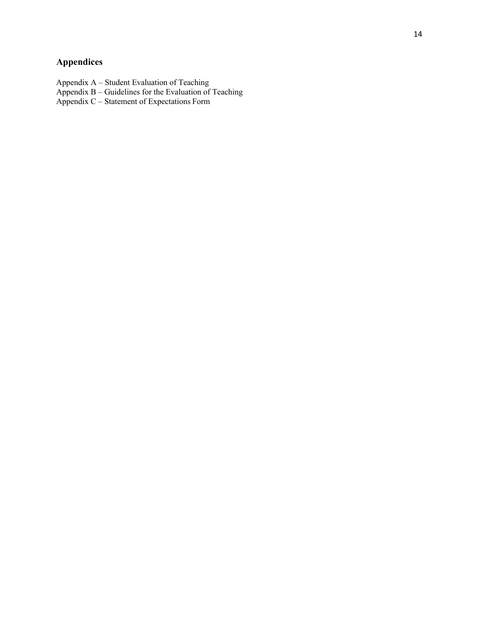# **Appendices**

Appendix A – Student Evaluation of Teaching

Appendix B – Guidelines for the Evaluation of Teaching

Appendix C – Statement of Expectations Form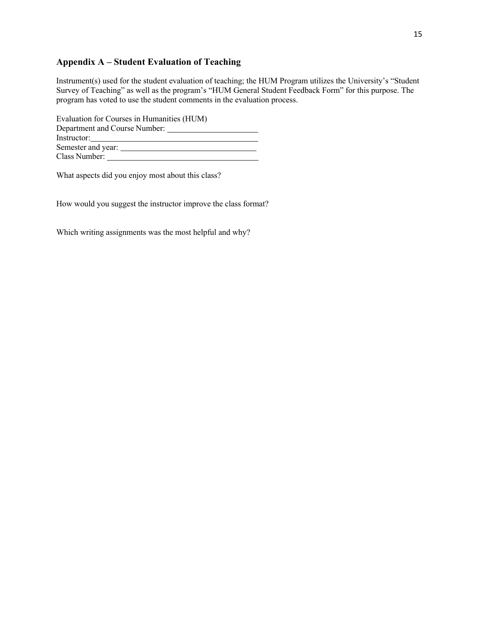# **Appendix A – Student Evaluation of Teaching**

Instrument(s) used for the student evaluation of teaching; the HUM Program utilizes the University's "Student Survey of Teaching" as well as the program's "HUM General Student Feedback Form" for this purpose. The program has voted to use the student comments in the evaluation process.

| Evaluation for Courses in Humanities (HUM) |  |  |  |
|--------------------------------------------|--|--|--|
| Department and Course Number:              |  |  |  |
| Instructor:                                |  |  |  |
| Semester and year:                         |  |  |  |
| Class Number:                              |  |  |  |

What aspects did you enjoy most about this class?

How would you suggest the instructor improve the class format?

Which writing assignments was the most helpful and why?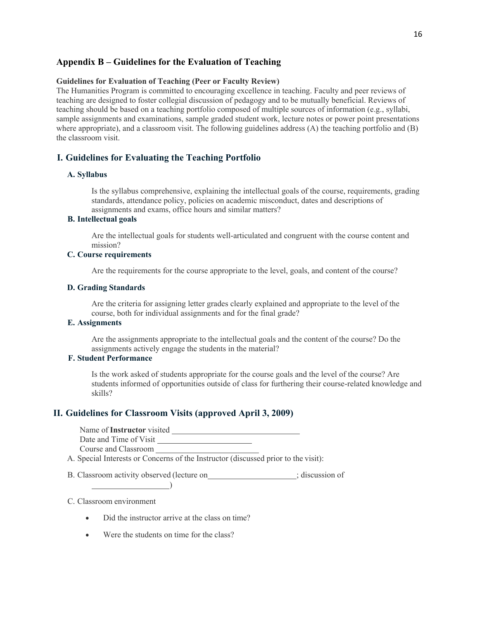## **Appendix B – Guidelines for the Evaluation of Teaching**

### **Guidelines for Evaluation of Teaching (Peer or Faculty Review)**

The Humanities Program is committed to encouraging excellence in teaching. Faculty and peer reviews of teaching are designed to foster collegial discussion of pedagogy and to be mutually beneficial. Reviews of teaching should be based on a teaching portfolio composed of multiple sources of information (e.g., syllabi, sample assignments and examinations, sample graded student work, lecture notes or power point presentations where appropriate), and a classroom visit. The following guidelines address (A) the teaching portfolio and (B) the classroom visit.

## **I. Guidelines for Evaluating the Teaching Portfolio**

### **A. Syllabus**

Is the syllabus comprehensive, explaining the intellectual goals of the course, requirements, grading standards, attendance policy, policies on academic misconduct, dates and descriptions of assignments and exams, office hours and similar matters?

## **B. Intellectual goals**

Are the intellectual goals for students well-articulated and congruent with the course content and mission?

## **C. Course requirements**

Are the requirements for the course appropriate to the level, goals, and content of the course?

### **D. Grading Standards**

Are the criteria for assigning letter grades clearly explained and appropriate to the level of the course, both for individual assignments and for the final grade?

## **E. Assignments**

Are the assignments appropriate to the intellectual goals and the content of the course? Do the assignments actively engage the students in the material?

## **F. Student Performance**

Is the work asked of students appropriate for the course goals and the level of the course? Are students informed of opportunities outside of class for furthering their course-related knowledge and skills?

## **II. Guidelines for Classroom Visits (approved April 3, 2009)**

Name of **Instructor** visited Date and Time of Visit Course and Classroom

- A. Special Interests or Concerns of the Instructor (discussed prior to the visit):
- B. Classroom activity observed (lecture on ; discussion of

#### C. Classroom environment

 $\overline{\phantom{a}}$ 

- Did the instructor arrive at the class on time?
- Were the students on time for the class?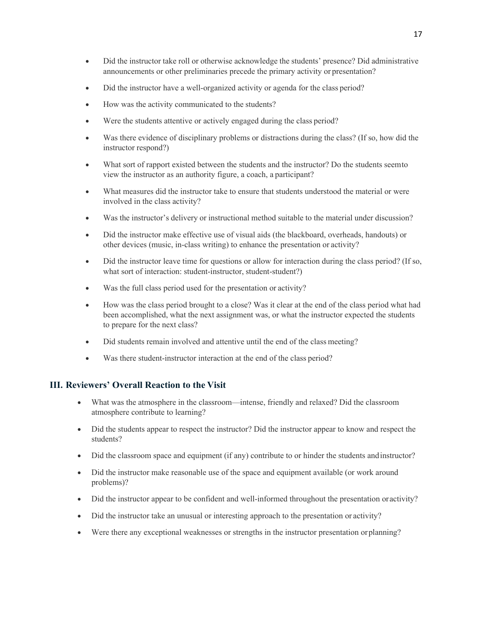- Did the instructor take roll or otherwise acknowledge the students' presence? Did administrative announcements or other preliminaries precede the primary activity or presentation?
- Did the instructor have a well-organized activity or agenda for the class period?
- How was the activity communicated to the students?
- Were the students attentive or actively engaged during the class period?
- Was there evidence of disciplinary problems or distractions during the class? (If so, how did the instructor respond?)
- What sort of rapport existed between the students and the instructor? Do the students seemto view the instructor as an authority figure, a coach, a participant?
- What measures did the instructor take to ensure that students understood the material or were involved in the class activity?
- Was the instructor's delivery or instructional method suitable to the material under discussion?
- Did the instructor make effective use of visual aids (the blackboard, overheads, handouts) or other devices (music, in-class writing) to enhance the presentation or activity?
- Did the instructor leave time for questions or allow for interaction during the class period? (If so, what sort of interaction: student-instructor, student-student?)
- Was the full class period used for the presentation or activity?
- How was the class period brought to a close? Was it clear at the end of the class period what had been accomplished, what the next assignment was, or what the instructor expected the students to prepare for the next class?
- Did students remain involved and attentive until the end of the class meeting?
- Was there student-instructor interaction at the end of the class period?

## **III. Reviewers' Overall Reaction to the Visit**

- What was the atmosphere in the classroom—intense, friendly and relaxed? Did the classroom atmosphere contribute to learning?
- Did the students appear to respect the instructor? Did the instructor appear to know and respect the students?
- Did the classroom space and equipment (if any) contribute to or hinder the students andinstructor?
- Did the instructor make reasonable use of the space and equipment available (or work around problems)?
- Did the instructor appear to be confident and well-informed throughout the presentation oractivity?
- Did the instructor take an unusual or interesting approach to the presentation or activity?
- Were there any exceptional weaknesses or strengths in the instructor presentation orplanning?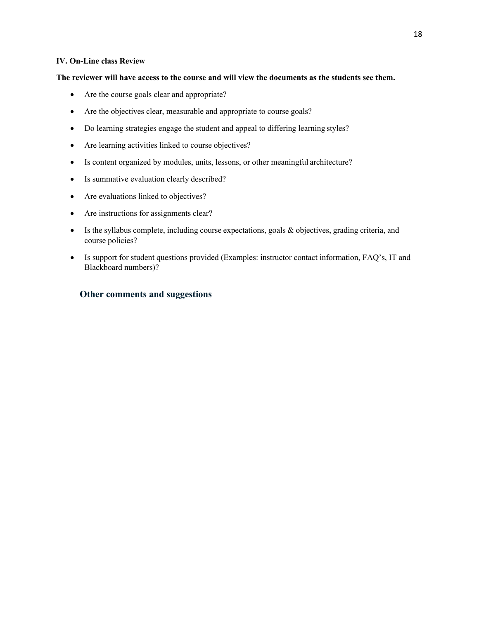## **IV. On-Line class Review**

## **The reviewer will have access to the course and will view the documents as the students see them.**

- Are the course goals clear and appropriate?
- Are the objectives clear, measurable and appropriate to course goals?
- Do learning strategies engage the student and appeal to differing learning styles?
- Are learning activities linked to course objectives?
- Is content organized by modules, units, lessons, or other meaningful architecture?
- Is summative evaluation clearly described?
- Are evaluations linked to objectives?
- Are instructions for assignments clear?
- Is the syllabus complete, including course expectations, goals & objectives, grading criteria, and course policies?
- Is support for student questions provided (Examples: instructor contact information, FAQ's, IT and Blackboard numbers)?

## **Other comments and suggestions**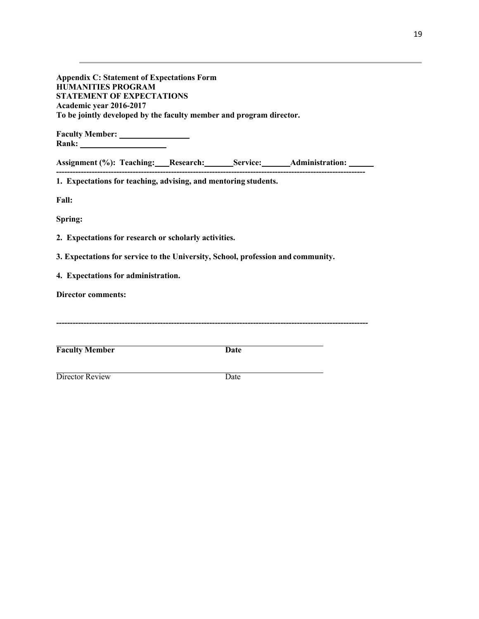| <b>Appendix C: Statement of Expectations Form</b><br><b>HUMANITIES PROGRAM</b><br><b>STATEMENT OF EXPECTATIONS</b><br>Academic year 2016-2017<br>To be jointly developed by the faculty member and program director. |  |             |  |  |
|----------------------------------------------------------------------------------------------------------------------------------------------------------------------------------------------------------------------|--|-------------|--|--|
|                                                                                                                                                                                                                      |  |             |  |  |
| Assignment (%): Teaching: Research: Service: Administration: 1897                                                                                                                                                    |  |             |  |  |
| 1. Expectations for teaching, advising, and mentoring students.                                                                                                                                                      |  |             |  |  |
| <b>Fall:</b>                                                                                                                                                                                                         |  |             |  |  |
| Spring:                                                                                                                                                                                                              |  |             |  |  |
| 2. Expectations for research or scholarly activities.                                                                                                                                                                |  |             |  |  |
| 3. Expectations for service to the University, School, profession and community.                                                                                                                                     |  |             |  |  |
| 4. Expectations for administration.                                                                                                                                                                                  |  |             |  |  |
| <b>Director comments:</b>                                                                                                                                                                                            |  |             |  |  |
|                                                                                                                                                                                                                      |  |             |  |  |
|                                                                                                                                                                                                                      |  |             |  |  |
| <b>Faculty Member</b>                                                                                                                                                                                                |  | <b>Date</b> |  |  |
| Director Review                                                                                                                                                                                                      |  | Date        |  |  |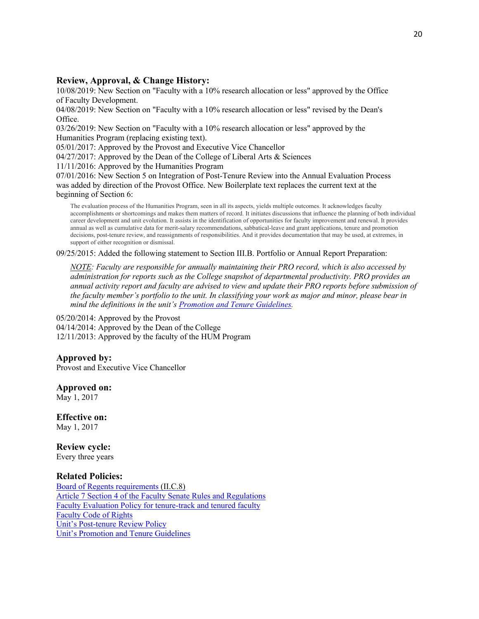## **Review, Approval, & Change History:**

10/08/2019: New Section on "Faculty with a 10% research allocation or less" approved by the Office of Faculty Development.

04/08/2019: New Section on "Faculty with a 10% research allocation or less" revised by the Dean's Office.

03/26/2019: New Section on "Faculty with a 10% research allocation or less" approved by the Humanities Program (replacing existing text).

05/01/2017: Approved by the Provost and Executive Vice Chancellor

04/27/2017: Approved by the Dean of the College of Liberal Arts & Sciences

11/11/2016: Approved by the Humanities Program

07/01/2016: New Section 5 on Integration of Post-Tenure Review into the Annual Evaluation Process was added by direction of the Provost Office. New Boilerplate text replaces the current text at the beginning of Section 6:

The evaluation process of the Humanities Program, seen in all its aspects, yields multiple outcomes. It acknowledges faculty accomplishments or shortcomings and makes them matters of record. It initiates discussions that influence the planning of both individual career development and unit evolution. It assists in the identification of opportunities for faculty improvement and renewal. It provides annual as well as cumulative data for merit-salary recommendations, sabbatical-leave and grant applications, tenure and promotion decisions, post-tenure review, and reassignments of responsibilities. And it provides documentation that may be used, at extremes, in support of either recognition or dismissal.

09/25/2015: Added the following statement to Section III.B. Portfolio or Annual Report Preparation:

*NOTE: Faculty are responsible for annually maintaining their PRO record, which is also accessed by administration for reports such as the College snapshot of departmental productivity. PRO provides an annual activity report and faculty are advised to view and update their PRO reports before submission of the faculty member's portfolio to the unit. In classifying your work as major and minor, please bear in mind the definitions in the unit's Promotion and Tenure Guidelines.*

05/20/2014: Approved by the Provost 04/14/2014: Approved by the Dean of the College 12/11/2013: Approved by the faculty of the HUM Program

## **Approved by:**

Provost and Executive Vice Chancellor

## **Approved on:**

May 1, 2017

**Effective on:** May 1, 2017

**Review cycle:** Every three years

## **Related Policies:**

Board of Regents requirements (II.C.8) Article 7 Section 4 of the Faculty Senate Rules and Regulations Faculty Evaluation Policy for tenure-track and tenured faculty Faculty Code of Rights Unit's Post-tenure Review Policy Unit's Promotion and Tenure Guidelines